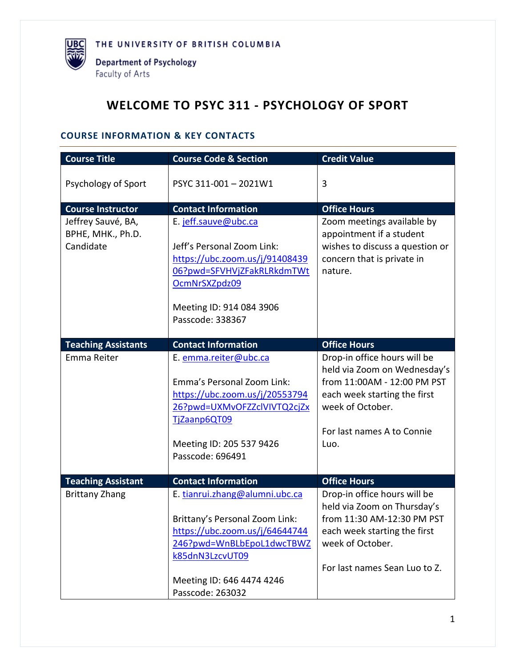

# **WELCOME TO PSYC 311 - PSYCHOLOGY OF SPORT**

## **COURSE INFORMATION & KEY CONTACTS**

| <b>Course Title</b>                                  | <b>Course Code &amp; Section</b>                                                                                                                                                                    | <b>Credit Value</b>                                                                                                                                                                   |
|------------------------------------------------------|-----------------------------------------------------------------------------------------------------------------------------------------------------------------------------------------------------|---------------------------------------------------------------------------------------------------------------------------------------------------------------------------------------|
| Psychology of Sport                                  | PSYC 311-001-2021W1                                                                                                                                                                                 | 3                                                                                                                                                                                     |
| <b>Course Instructor</b>                             | <b>Contact Information</b>                                                                                                                                                                          | <b>Office Hours</b>                                                                                                                                                                   |
| Jeffrey Sauvé, BA,<br>BPHE, MHK., Ph.D.<br>Candidate | E. jeff.sauve@ubc.ca<br>Jeff's Personal Zoom Link:<br>https://ubc.zoom.us/j/91408439<br>06?pwd=SFVHVjZFakRLRkdmTWt<br>OcmNrSXZpdz09<br>Meeting ID: 914 084 3906<br>Passcode: 338367                 | Zoom meetings available by<br>appointment if a student<br>wishes to discuss a question or<br>concern that is private in<br>nature.                                                    |
| <b>Teaching Assistants</b>                           | <b>Contact Information</b>                                                                                                                                                                          | <b>Office Hours</b>                                                                                                                                                                   |
| Emma Reiter                                          | E. emma.reiter@ubc.ca<br>Emma's Personal Zoom Link:<br>https://ubc.zoom.us/j/20553794<br>26?pwd=UXMvOFZZclVIVTQ2cjZx<br>TjZaanp6QT09<br>Meeting ID: 205 537 9426<br>Passcode: 696491                | Drop-in office hours will be<br>held via Zoom on Wednesday's<br>from 11:00AM - 12:00 PM PST<br>each week starting the first<br>week of October.<br>For last names A to Connie<br>Luo. |
| <b>Teaching Assistant</b>                            | <b>Contact Information</b>                                                                                                                                                                          | <b>Office Hours</b>                                                                                                                                                                   |
| <b>Brittany Zhang</b>                                | E. tianrui.zhang@alumni.ubc.ca<br>Brittany's Personal Zoom Link:<br>https://ubc.zoom.us/j/64644744<br>246?pwd=WnBLbEpoL1dwcTBWZ<br>k85dnN3LzcvUT09<br>Meeting ID: 646 4474 4246<br>Passcode: 263032 | Drop-in office hours will be<br>held via Zoom on Thursday's<br>from 11:30 AM-12:30 PM PST<br>each week starting the first<br>week of October.<br>For last names Sean Luo to Z.        |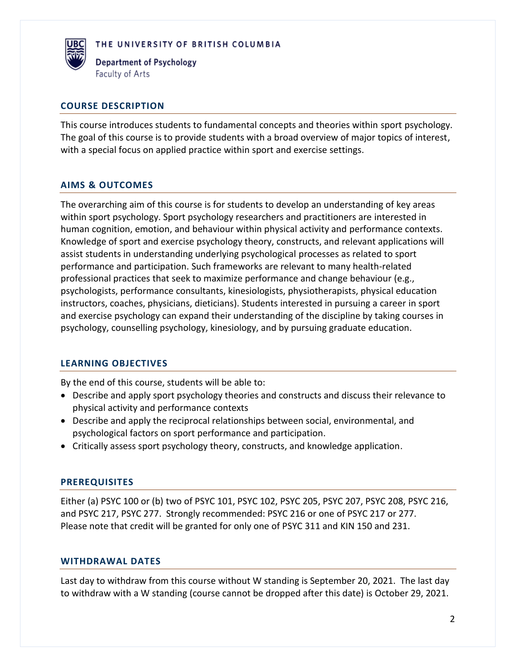

**Department of Psychology** Faculty of Arts

## **COURSE DESCRIPTION**

This course introduces students to fundamental concepts and theories within sport psychology. The goal of this course is to provide students with a broad overview of major topics of interest, with a special focus on applied practice within sport and exercise settings.

## **AIMS & OUTCOMES**

The overarching aim of this course is for students to develop an understanding of key areas within sport psychology. Sport psychology researchers and practitioners are interested in human cognition, emotion, and behaviour within physical activity and performance contexts. Knowledge of sport and exercise psychology theory, constructs, and relevant applications will assist students in understanding underlying psychological processes as related to sport performance and participation. Such frameworks are relevant to many health-related professional practices that seek to maximize performance and change behaviour (e.g., psychologists, performance consultants, kinesiologists, physiotherapists, physical education instructors, coaches, physicians, dieticians). Students interested in pursuing a career in sport and exercise psychology can expand their understanding of the discipline by taking courses in psychology, counselling psychology, kinesiology, and by pursuing graduate education.

## **LEARNING OBJECTIVES**

By the end of this course, students will be able to:

- Describe and apply sport psychology theories and constructs and discuss their relevance to physical activity and performance contexts
- Describe and apply the reciprocal relationships between social, environmental, and psychological factors on sport performance and participation.
- Critically assess sport psychology theory, constructs, and knowledge application.

#### **PREREQUISITES**

Either (a) PSYC 100 or (b) two of PSYC 101, PSYC 102, PSYC 205, PSYC 207, PSYC 208, PSYC 216, and PSYC 217, PSYC 277. Strongly recommended: PSYC 216 or one of PSYC 217 or 277. Please note that credit will be granted for only one of PSYC 311 and KIN 150 and 231.

#### **WITHDRAWAL DATES**

Last day to withdraw from this course without W standing is September 20, 2021. The last day to withdraw with a W standing (course cannot be dropped after this date) is October 29, 2021.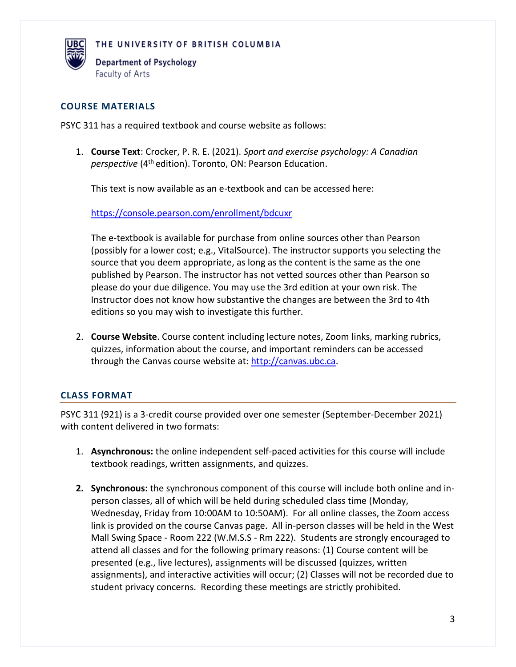

Department of Psychology Faculty of Arts

## **COURSE MATERIALS**

PSYC 311 has a required textbook and course website as follows:

1. **Course Text**: Crocker, P. R. E. (2021). *Sport and exercise psychology: A Canadian perspective* (4<sup>th</sup> edition). Toronto, ON: Pearson Education.

This text is now available as an e-textbook and can be accessed here:

<https://console.pearson.com/enrollment/bdcuxr>

The e-textbook is available for purchase from online sources other than Pearson (possibly for a lower cost; e.g., VitalSource). The instructor supports you selecting the source that you deem appropriate, as long as the content is the same as the one published by Pearson. The instructor has not vetted sources other than Pearson so please do your due diligence. You may use the 3rd edition at your own risk. The Instructor does not know how substantive the changes are between the 3rd to 4th editions so you may wish to investigate this further.

2. **Course Website**. Course content including lecture notes, Zoom links, marking rubrics, quizzes, information about the course, and important reminders can be accessed through the Canvas course website at: [http://canvas.ubc.ca.](http://canvas.ubc.ca/)

## **CLASS FORMAT**

PSYC 311 (921) is a 3-credit course provided over one semester (September-December 2021) with content delivered in two formats:

- 1. **Asynchronous:** the online independent self-paced activities for this course will include textbook readings, written assignments, and quizzes.
- **2. Synchronous:** the synchronous component of this course will include both online and inperson classes, all of which will be held during scheduled class time (Monday, Wednesday, Friday from 10:00AM to 10:50AM). For all online classes, the Zoom access link is provided on the course Canvas page. All in-person classes will be held in the West Mall Swing Space - Room 222 (W.M.S.S - Rm 222). Students are strongly encouraged to attend all classes and for the following primary reasons: (1) Course content will be presented (e.g., live lectures), assignments will be discussed (quizzes, written assignments), and interactive activities will occur; (2) Classes will not be recorded due to student privacy concerns. Recording these meetings are strictly prohibited.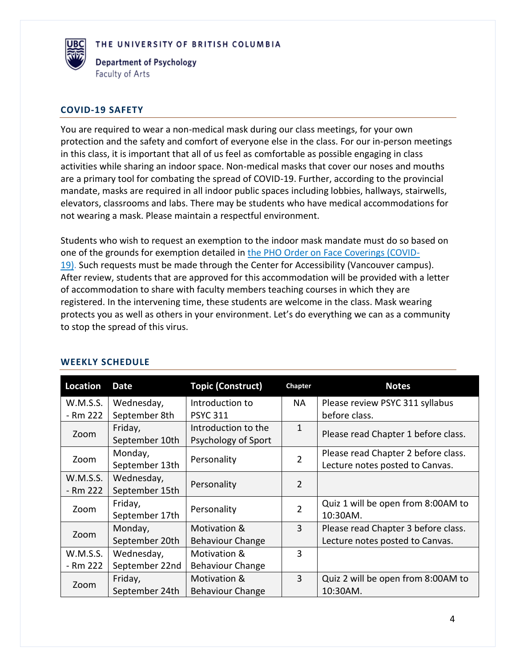

**Department of Psychology** Faculty of Arts

#### **COVID-19 SAFETY**

You are required to wear a non-medical mask during our class meetings, for your own protection and the safety and comfort of everyone else in the class. For our in-person meetings in this class, it is important that all of us feel as comfortable as possible engaging in class activities while sharing an indoor space. Non-medical masks that cover our noses and mouths are a primary tool for combating the spread of COVID-19. Further, according to the provincial mandate, masks are required in all indoor public spaces including lobbies, hallways, stairwells, elevators, classrooms and labs. There may be students who have medical accommodations for not wearing a mask. Please maintain a respectful environment.

Students who wish to request an exemption to the indoor mask mandate must do so based on one of the grounds for exemption detailed in [the PHO Order on Face Coverings \(COVID-](https://www2.gov.bc.ca/assets/gov/health/about-bc-s-health-care-system/office-of-the-provincial-health-officer/covid-19/covid-19-pho-order-face-coverings.pdf)[19\).](https://www2.gov.bc.ca/assets/gov/health/about-bc-s-health-care-system/office-of-the-provincial-health-officer/covid-19/covid-19-pho-order-face-coverings.pdf) Such requests must be made through the Center for Accessibility (Vancouver campus). After review, students that are approved for this accommodation will be provided with a letter of accommodation to share with faculty members teaching courses in which they are registered. In the intervening time, these students are welcome in the class. Mask wearing protects you as well as others in your environment. Let's do everything we can as a community to stop the spread of this virus.

| Location | <b>Date</b>             | <b>Topic (Construct)</b> | <b>Chapter</b> | <b>Notes</b>                        |  |
|----------|-------------------------|--------------------------|----------------|-------------------------------------|--|
| W.M.S.S. | Wednesday,              | Introduction to          | NA             | Please review PSYC 311 syllabus     |  |
| - Rm 222 | September 8th           | <b>PSYC 311</b>          |                | before class.                       |  |
| Zoom     | Friday,                 | Introduction to the      | 1              | Please read Chapter 1 before class. |  |
|          | September 10th          | Psychology of Sport      |                |                                     |  |
| Zoom     | Monday,                 | Personality              | 2              | Please read Chapter 2 before class. |  |
|          | September 13th          |                          |                | Lecture notes posted to Canvas.     |  |
| W.M.S.S. | Wednesday,              | Personality              | $\overline{2}$ |                                     |  |
| - Rm 222 | September 15th          |                          |                |                                     |  |
| Zoom     | Friday,                 | Personality              | $\overline{2}$ | Quiz 1 will be open from 8:00AM to  |  |
|          | September 17th          |                          |                | 10:30AM.                            |  |
| Zoom     | Motivation &<br>Monday, |                          | $\overline{3}$ | Please read Chapter 3 before class. |  |
|          | September 20th          | <b>Behaviour Change</b>  |                | Lecture notes posted to Canvas.     |  |
| W.M.S.S. | Wednesday,              | Motivation &             | 3              |                                     |  |
| - Rm 222 | September 22nd          | <b>Behaviour Change</b>  |                |                                     |  |
|          | Friday,                 | Motivation &             | 3              | Quiz 2 will be open from 8:00AM to  |  |
| Zoom     | September 24th          | <b>Behaviour Change</b>  |                | 10:30AM.                            |  |

#### **WEEKLY SCHEDULE**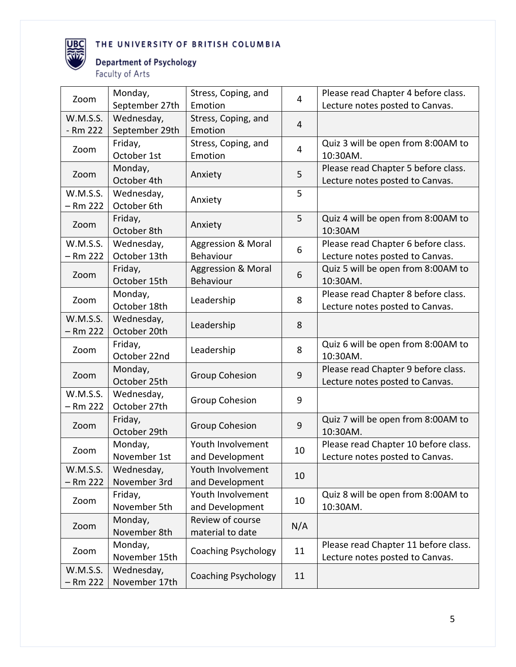

# **Department of Psychology**

Faculty of Arts

| Zoom                   | Monday,                     | Stress, Coping, and<br>4      |     | Please read Chapter 4 before class.            |  |
|------------------------|-----------------------------|-------------------------------|-----|------------------------------------------------|--|
|                        | September 27th              | Emotion                       |     | Lecture notes posted to Canvas.                |  |
| W.M.S.S.               | Wednesday,                  | Stress, Coping, and           | 4   |                                                |  |
| - Rm 222               | September 29th              | Emotion                       |     |                                                |  |
| Zoom                   | Friday,<br>October 1st      | Stress, Coping, and           | 4   | Quiz 3 will be open from 8:00AM to<br>10:30AM. |  |
|                        | Monday,                     | Emotion                       |     | Please read Chapter 5 before class.            |  |
| Zoom                   | October 4th                 | Anxiety                       | 5   | Lecture notes posted to Canvas.                |  |
| W.M.S.S.<br>$-$ Rm 222 | Wednesday,<br>October 6th   | Anxiety                       | 5   |                                                |  |
|                        | Friday,                     |                               | 5   | Quiz 4 will be open from 8:00AM to             |  |
| Zoom                   | October 8th                 | Anxiety                       |     | 10:30AM                                        |  |
| W.M.S.S.               | Wednesday,                  | <b>Aggression &amp; Moral</b> | 6   | Please read Chapter 6 before class.            |  |
| $-$ Rm 222             | October 13th                | Behaviour                     |     | Lecture notes posted to Canvas.                |  |
| Zoom                   | Friday,                     | <b>Aggression &amp; Moral</b> |     | Quiz 5 will be open from 8:00AM to             |  |
|                        | October 15th                | Behaviour                     |     | 10:30AM.                                       |  |
| Zoom                   | Monday,                     | Leadership                    | 8   | Please read Chapter 8 before class.            |  |
|                        | October 18th                |                               |     | Lecture notes posted to Canvas.                |  |
| W.M.S.S.<br>$-$ Rm 222 | Wednesday,<br>October 20th  | Leadership                    | 8   |                                                |  |
| Zoom                   | Friday,<br>October 22nd     | Leadership                    | 8   | Quiz 6 will be open from 8:00AM to<br>10:30AM. |  |
| Zoom                   | Monday,                     | <b>Group Cohesion</b>         | 9   | Please read Chapter 9 before class.            |  |
|                        | October 25th                |                               |     | Lecture notes posted to Canvas.                |  |
| W.M.S.S.<br>$-$ Rm 222 | Wednesday,<br>October 27th  | Group Cohesion                | 9   |                                                |  |
|                        | Friday,                     |                               |     | Quiz 7 will be open from 8:00AM to             |  |
| Zoom                   | October 29th                | <b>Group Cohesion</b>         | 9   | 10:30AM.                                       |  |
|                        | Monday,                     | Youth Involvement             | 10  | Please read Chapter 10 before class.           |  |
| Zoom                   | November 1st                | and Development               |     | Lecture notes posted to Canvas.                |  |
| W.M.S.S.               | Wednesday,                  | Youth Involvement             |     |                                                |  |
| $-$ Rm 222             | November 3rd                | and Development               | 10  |                                                |  |
| Zoom                   | Friday,                     | Youth Involvement             | 10  | Quiz 8 will be open from 8:00AM to             |  |
|                        | November 5th                | and Development               |     | 10:30AM.                                       |  |
| Zoom                   | Monday,                     | Review of course              | N/A |                                                |  |
|                        | November 8th                | material to date              |     |                                                |  |
| Zoom                   | Monday,                     | <b>Coaching Psychology</b>    | 11  | Please read Chapter 11 before class.           |  |
|                        | November 15th               |                               |     | Lecture notes posted to Canvas.                |  |
| W.M.S.S.<br>$-$ Rm 222 | Wednesday,<br>November 17th | <b>Coaching Psychology</b>    | 11  |                                                |  |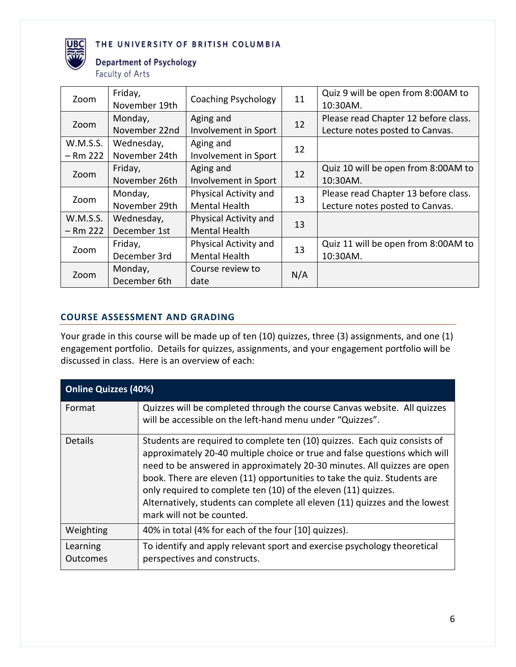

# **Department of Psychology**

Faculty of Arts

| Zoom       | Friday,<br>November 19th | Coaching Psychology   | 11  | Quiz 9 will be open from 8:00AM to<br>10:30AM. |
|------------|--------------------------|-----------------------|-----|------------------------------------------------|
| Zoom       | Monday,                  | Aging and             | 12  | Please read Chapter 12 before class.           |
|            | November 22nd            | Involvement in Sport  |     | Lecture notes posted to Canvas.                |
| W.M.S.S.   | Wednesday,               | Aging and             | 12  |                                                |
| $-$ Rm 222 | November 24th            | Involvement in Sport  |     |                                                |
| Zoom       | Friday,                  | Aging and             | 12  | Quiz 10 will be open from 8:00AM to            |
|            | November 26th            | Involvement in Sport  |     | 10:30AM.                                       |
|            | Monday,                  | Physical Activity and | 13  | Please read Chapter 13 before class.           |
| Zoom       | November 29th            | <b>Mental Health</b>  |     | Lecture notes posted to Canvas.                |
| W.M.S.S.   | Wednesday,               | Physical Activity and | 13  |                                                |
| $-$ Rm 222 | December 1st             | <b>Mental Health</b>  |     |                                                |
|            | Friday,                  | Physical Activity and | 13  | Quiz 11 will be open from 8:00AM to            |
| Zoom       | December 3rd             | <b>Mental Health</b>  |     | 10:30AM.                                       |
|            | Monday,                  | Course review to      |     |                                                |
| Zoom       | December 6th             | date                  | N/A |                                                |

## **COURSE ASSESSMENT AND GRADING**

Your grade in this course will be made up of ten (10) quizzes, three (3) assignments, and one (1) engagement portfolio. Details for quizzes, assignments, and your engagement portfolio will be discussed in class. Here is an overview of each:

| <b>Online Quizzes (40%)</b> |                                                                                                                                                                                                                                                                                                                                                                                                                                                                                               |  |  |  |
|-----------------------------|-----------------------------------------------------------------------------------------------------------------------------------------------------------------------------------------------------------------------------------------------------------------------------------------------------------------------------------------------------------------------------------------------------------------------------------------------------------------------------------------------|--|--|--|
| Format                      | Quizzes will be completed through the course Canvas website. All quizzes<br>will be accessible on the left-hand menu under "Quizzes".                                                                                                                                                                                                                                                                                                                                                         |  |  |  |
| <b>Details</b>              | Students are required to complete ten (10) quizzes. Each quiz consists of<br>approximately 20-40 multiple choice or true and false questions which will<br>need to be answered in approximately 20-30 minutes. All quizzes are open<br>book. There are eleven (11) opportunities to take the quiz. Students are<br>only required to complete ten (10) of the eleven (11) quizzes.<br>Alternatively, students can complete all eleven (11) quizzes and the lowest<br>mark will not be counted. |  |  |  |
| Weighting                   | 40% in total (4% for each of the four [10] quizzes).                                                                                                                                                                                                                                                                                                                                                                                                                                          |  |  |  |
| Learning<br>Outcomes        | To identify and apply relevant sport and exercise psychology theoretical<br>perspectives and constructs.                                                                                                                                                                                                                                                                                                                                                                                      |  |  |  |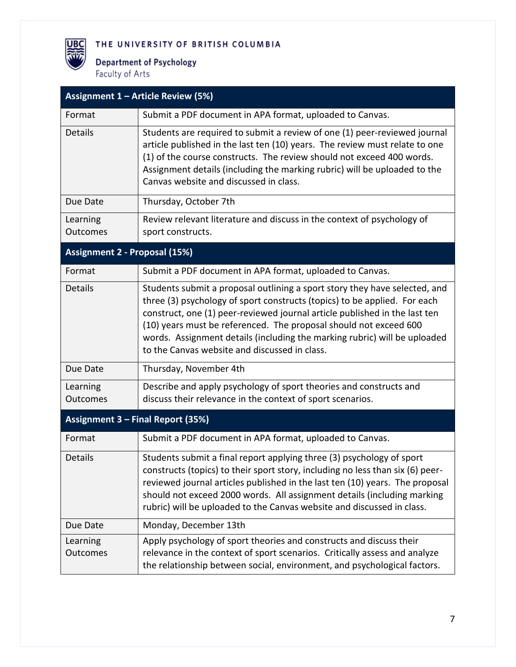**Department of Psychology** Faculty of Arts

**UBC** 

|                                      | Assignment 1 - Article Review (5%)                                                                                                                                                                                                                                                                                                                                                                                                       |
|--------------------------------------|------------------------------------------------------------------------------------------------------------------------------------------------------------------------------------------------------------------------------------------------------------------------------------------------------------------------------------------------------------------------------------------------------------------------------------------|
| Format                               | Submit a PDF document in APA format, uploaded to Canvas.                                                                                                                                                                                                                                                                                                                                                                                 |
| <b>Details</b>                       | Students are required to submit a review of one (1) peer-reviewed journal<br>article published in the last ten (10) years. The review must relate to one<br>(1) of the course constructs. The review should not exceed 400 words.<br>Assignment details (including the marking rubric) will be uploaded to the<br>Canvas website and discussed in class.                                                                                 |
| Due Date                             | Thursday, October 7th                                                                                                                                                                                                                                                                                                                                                                                                                    |
| Learning<br>Outcomes                 | Review relevant literature and discuss in the context of psychology of<br>sport constructs.                                                                                                                                                                                                                                                                                                                                              |
| <b>Assignment 2 - Proposal (15%)</b> |                                                                                                                                                                                                                                                                                                                                                                                                                                          |
| Format                               | Submit a PDF document in APA format, uploaded to Canvas.                                                                                                                                                                                                                                                                                                                                                                                 |
| <b>Details</b>                       | Students submit a proposal outlining a sport story they have selected, and<br>three (3) psychology of sport constructs (topics) to be applied. For each<br>construct, one (1) peer-reviewed journal article published in the last ten<br>(10) years must be referenced. The proposal should not exceed 600<br>words. Assignment details (including the marking rubric) will be uploaded<br>to the Canvas website and discussed in class. |
| Due Date                             | Thursday, November 4th                                                                                                                                                                                                                                                                                                                                                                                                                   |
| Learning<br>Outcomes                 | Describe and apply psychology of sport theories and constructs and<br>discuss their relevance in the context of sport scenarios.                                                                                                                                                                                                                                                                                                         |
| Assignment 3 - Final Report (35%)    |                                                                                                                                                                                                                                                                                                                                                                                                                                          |
| Format                               | Submit a PDF document in APA format, uploaded to Canvas.                                                                                                                                                                                                                                                                                                                                                                                 |
| Details                              | Students submit a final report applying three (3) psychology of sport<br>constructs (topics) to their sport story, including no less than six (6) peer-<br>reviewed journal articles published in the last ten (10) years. The proposal<br>should not exceed 2000 words. All assignment details (including marking<br>rubric) will be uploaded to the Canvas website and discussed in class.                                             |
| Due Date                             | Monday, December 13th                                                                                                                                                                                                                                                                                                                                                                                                                    |
| Learning<br><b>Outcomes</b>          | Apply psychology of sport theories and constructs and discuss their<br>relevance in the context of sport scenarios. Critically assess and analyze<br>the relationship between social, environment, and psychological factors.                                                                                                                                                                                                            |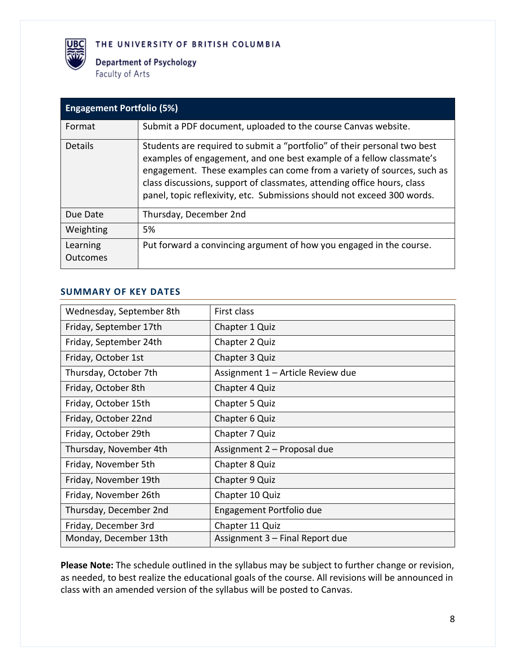

**Department of Psychology** Faculty of Arts

| <b>Engagement Portfolio (5%)</b> |                                                                                                                                                                                                                                                                                                                                                                                  |  |  |  |
|----------------------------------|----------------------------------------------------------------------------------------------------------------------------------------------------------------------------------------------------------------------------------------------------------------------------------------------------------------------------------------------------------------------------------|--|--|--|
| Format                           | Submit a PDF document, uploaded to the course Canvas website.                                                                                                                                                                                                                                                                                                                    |  |  |  |
| <b>Details</b>                   | Students are required to submit a "portfolio" of their personal two best<br>examples of engagement, and one best example of a fellow classmate's<br>engagement. These examples can come from a variety of sources, such as<br>class discussions, support of classmates, attending office hours, class<br>panel, topic reflexivity, etc. Submissions should not exceed 300 words. |  |  |  |
| Due Date                         | Thursday, December 2nd                                                                                                                                                                                                                                                                                                                                                           |  |  |  |
| Weighting                        | 5%                                                                                                                                                                                                                                                                                                                                                                               |  |  |  |
| Learning<br>Outcomes             | Put forward a convincing argument of how you engaged in the course.                                                                                                                                                                                                                                                                                                              |  |  |  |

### **SUMMARY OF KEY DATES**

| Wednesday, September 8th | First class                       |
|--------------------------|-----------------------------------|
| Friday, September 17th   | Chapter 1 Quiz                    |
| Friday, September 24th   | Chapter 2 Quiz                    |
| Friday, October 1st      | Chapter 3 Quiz                    |
| Thursday, October 7th    | Assignment 1 - Article Review due |
| Friday, October 8th      | <b>Chapter 4 Quiz</b>             |
| Friday, October 15th     | <b>Chapter 5 Quiz</b>             |
| Friday, October 22nd     | <b>Chapter 6 Quiz</b>             |
| Friday, October 29th     | Chapter 7 Quiz                    |
| Thursday, November 4th   | Assignment 2 – Proposal due       |
| Friday, November 5th     | Chapter 8 Quiz                    |
| Friday, November 19th    | <b>Chapter 9 Quiz</b>             |
| Friday, November 26th    | Chapter 10 Quiz                   |
| Thursday, December 2nd   | Engagement Portfolio due          |
| Friday, December 3rd     | Chapter 11 Quiz                   |
| Monday, December 13th    | Assignment 3 - Final Report due   |

**Please Note:** The schedule outlined in the syllabus may be subject to further change or revision, as needed, to best realize the educational goals of the course. All revisions will be announced in class with an amended version of the syllabus will be posted to Canvas.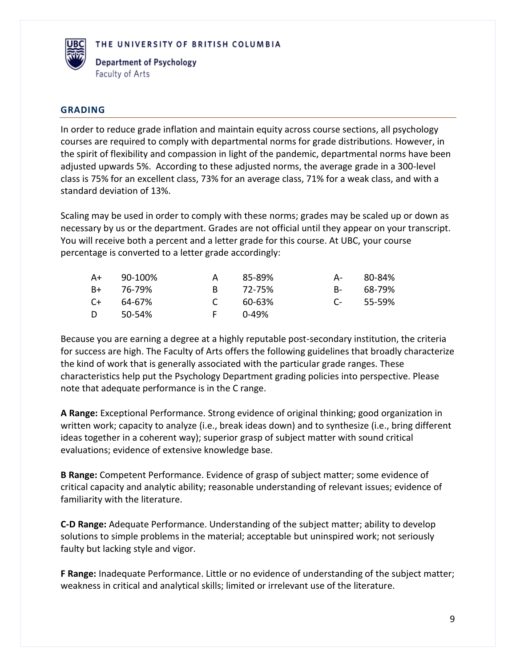

Department of Psychology Faculty of Arts

### **GRADING**

In order to reduce grade inflation and maintain equity across course sections, all psychology courses are required to comply with departmental norms for grade distributions. However, in the spirit of flexibility and compassion in light of the pandemic, departmental norms have been adjusted upwards 5%. According to these adjusted norms, the average grade in a 300-level class is 75% for an excellent class, 73% for an average class, 71% for a weak class, and with a standard deviation of 13%.

Scaling may be used in order to comply with these norms; grades may be scaled up or down as necessary by us or the department. Grades are not official until they appear on your transcript. You will receive both a percent and a letter grade for this course. At UBC, your course percentage is converted to a letter grade accordingly:

| $A+$ | 90-100% | A             | 85-89% | A-              | 80-84% |
|------|---------|---------------|--------|-----------------|--------|
| B+   | 76-79%  | R.            | 72-75% | $B-$            | 68-79% |
| C+   | 64-67%  | $\mathcal{C}$ | 60-63% | $\Gamma$ $\sim$ | 55-59% |
| D.   | 50-54%  | E.            | በ-49%  |                 |        |

Because you are earning a degree at a highly reputable post-secondary institution, the criteria for success are high. The Faculty of Arts offers the following guidelines that broadly characterize the kind of work that is generally associated with the particular grade ranges. These characteristics help put the Psychology Department grading policies into perspective. Please note that adequate performance is in the C range.

**A Range:** Exceptional Performance. Strong evidence of original thinking; good organization in written work; capacity to analyze (i.e., break ideas down) and to synthesize (i.e., bring different ideas together in a coherent way); superior grasp of subject matter with sound critical evaluations; evidence of extensive knowledge base.

**B Range:** Competent Performance. Evidence of grasp of subject matter; some evidence of critical capacity and analytic ability; reasonable understanding of relevant issues; evidence of familiarity with the literature.

**C-D Range:** Adequate Performance. Understanding of the subject matter; ability to develop solutions to simple problems in the material; acceptable but uninspired work; not seriously faulty but lacking style and vigor.

**F Range:** Inadequate Performance. Little or no evidence of understanding of the subject matter; weakness in critical and analytical skills; limited or irrelevant use of the literature.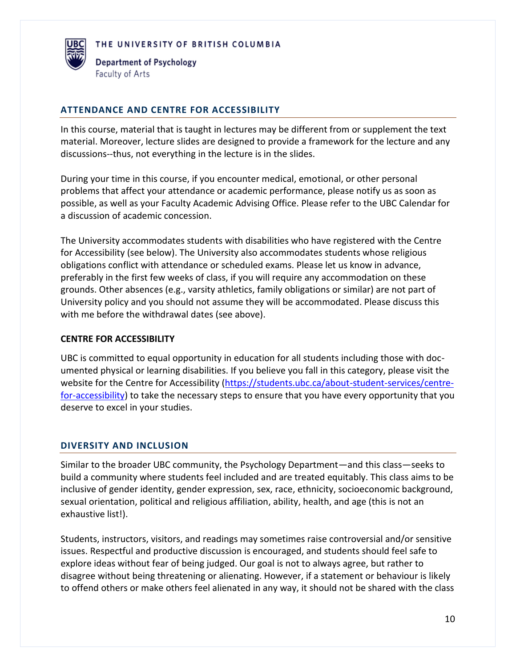

#### **ATTENDANCE AND CENTRE FOR ACCESSIBILITY**

In this course, material that is taught in lectures may be different from or supplement the text material. Moreover, lecture slides are designed to provide a framework for the lecture and any discussions--thus, not everything in the lecture is in the slides.

During your time in this course, if you encounter medical, emotional, or other personal problems that affect your attendance or academic performance, please notify us as soon as possible, as well as your Faculty Academic Advising Office. Please refer to the UBC Calendar for a discussion of academic concession.

The University accommodates students with disabilities who have registered with the Centre for Accessibility (see below). The University also accommodates students whose religious obligations conflict with attendance or scheduled exams. Please let us know in advance, preferably in the first few weeks of class, if you will require any accommodation on these grounds. Other absences (e.g., varsity athletics, family obligations or similar) are not part of University policy and you should not assume they will be accommodated. Please discuss this with me before the withdrawal dates (see above).

#### **CENTRE FOR ACCESSIBILITY**

UBC is committed to equal opportunity in education for all students including those with documented physical or learning disabilities. If you believe you fall in this category, please visit the website for the Centre for Accessibility [\(https://students.ubc.ca/about-student-services/centre](https://students.ubc.ca/about-student-services/centre-for-accessibility)[for-accessibility\)](https://students.ubc.ca/about-student-services/centre-for-accessibility) to take the necessary steps to ensure that you have every opportunity that you deserve to excel in your studies.

#### **DIVERSITY AND INCLUSION**

Similar to the broader UBC community, the Psychology Department—and this class—seeks to build a community where students feel included and are treated equitably. This class aims to be inclusive of gender identity, gender expression, sex, race, ethnicity, socioeconomic background, sexual orientation, political and religious affiliation, ability, health, and age (this is not an exhaustive list!).

Students, instructors, visitors, and readings may sometimes raise controversial and/or sensitive issues. Respectful and productive discussion is encouraged, and students should feel safe to explore ideas without fear of being judged. Our goal is not to always agree, but rather to disagree without being threatening or alienating. However, if a statement or behaviour is likely to offend others or make others feel alienated in any way, it should not be shared with the class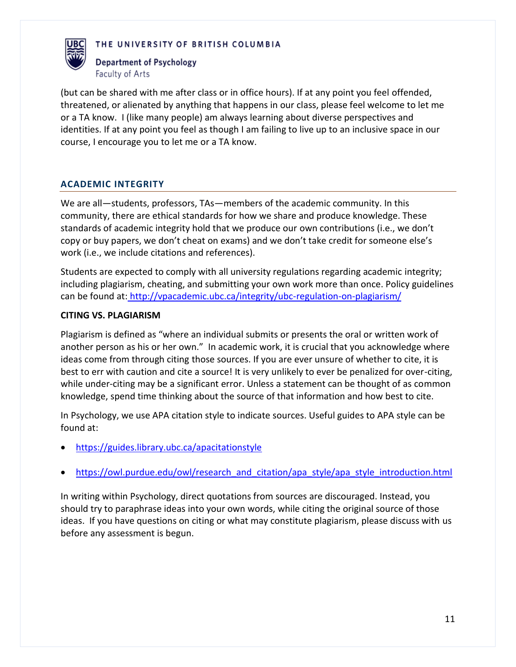



(but can be shared with me after class or in office hours). If at any point you feel offended, threatened, or alienated by anything that happens in our class, please feel welcome to let me or a TA know. I (like many people) am always learning about diverse perspectives and identities. If at any point you feel as though I am failing to live up to an inclusive space in our course, I encourage you to let me or a TA know.

## **ACADEMIC INTEGRITY**

We are all—students, professors, TAs—members of the academic community. In this community, there are ethical standards for how we share and produce knowledge. These standards of academic integrity hold that we produce our own contributions (i.e., we don't copy or buy papers, we don't cheat on exams) and we don't take credit for someone else's work (i.e., we include citations and references).

Students are expected to comply with all university regulations regarding academic integrity; including plagiarism, cheating, and submitting your own work more than once. Policy guidelines can be found at: <http://vpacademic.ubc.ca/integrity/ubc-regulation-on-plagiarism/>

#### **CITING VS. PLAGIARISM**

Plagiarism is defined as "where an individual submits or presents the oral or written work of another person as his or her own." In academic work, it is crucial that you acknowledge where ideas come from through citing those sources. If you are ever unsure of whether to cite, it is best to err with caution and cite a source! It is very unlikely to ever be penalized for over-citing, while under-citing may be a significant error. Unless a statement can be thought of as common knowledge, spend time thinking about the source of that information and how best to cite.

In Psychology, we use APA citation style to indicate sources. Useful guides to APA style can be found at:

- <https://guides.library.ubc.ca/apacitationstyle>
- [https://owl.purdue.edu/owl/research\\_and\\_citation/apa\\_style/apa\\_style\\_introduction.html](https://owl.purdue.edu/owl/research_and_citation/apa_style/apa_style_introduction.html)

In writing within Psychology, direct quotations from sources are discouraged. Instead, you should try to paraphrase ideas into your own words, while citing the original source of those ideas. If you have questions on citing or what may constitute plagiarism, please discuss with us before any assessment is begun.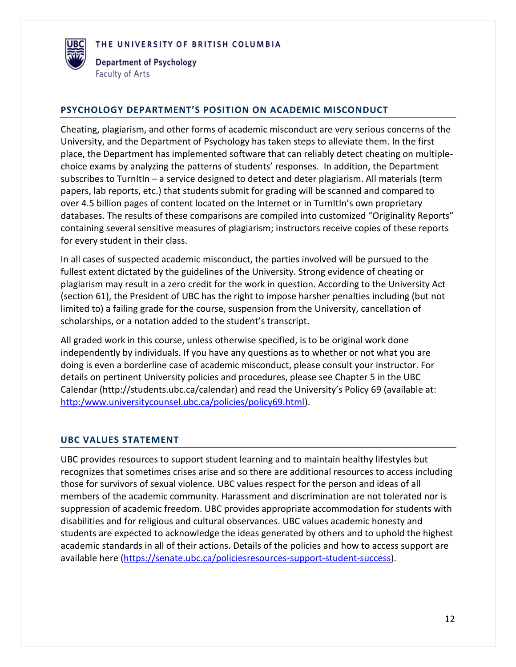

#### **PSYCHOLOGY DEPARTMENT'S POSITION ON ACADEMIC MISCONDUCT**

Cheating, plagiarism, and other forms of academic misconduct are very serious concerns of the University, and the Department of Psychology has taken steps to alleviate them. In the first place, the Department has implemented software that can reliably detect cheating on multiplechoice exams by analyzing the patterns of students' responses. In addition, the Department subscribes to TurnItIn – a service designed to detect and deter plagiarism. All materials (term papers, lab reports, etc.) that students submit for grading will be scanned and compared to over 4.5 billion pages of content located on the Internet or in TurnItIn's own proprietary databases. The results of these comparisons are compiled into customized "Originality Reports" containing several sensitive measures of plagiarism; instructors receive copies of these reports for every student in their class.

In all cases of suspected academic misconduct, the parties involved will be pursued to the fullest extent dictated by the guidelines of the University. Strong evidence of cheating or plagiarism may result in a zero credit for the work in question. According to the University Act (section 61), the President of UBC has the right to impose harsher penalties including (but not limited to) a failing grade for the course, suspension from the University, cancellation of scholarships, or a notation added to the student's transcript.

All graded work in this course, unless otherwise specified, is to be original work done independently by individuals. If you have any questions as to whether or not what you are doing is even a borderline case of academic misconduct, please consult your instructor. For details on pertinent University policies and procedures, please see Chapter 5 in the UBC Calendar (http://students.ubc.ca/calendar) and read the University's Policy 69 (available at: [http:/www.universitycounsel.ubc.ca/policies/policy69.html\)](http://www.universitycounsel.ubc.ca/policies/policy69.html).

#### **UBC VALUES STATEMENT**

UBC provides resources to support student learning and to maintain healthy lifestyles but recognizes that sometimes crises arise and so there are additional resources to access including those for survivors of sexual violence. UBC values respect for the person and ideas of all members of the academic community. Harassment and discrimination are not tolerated nor is suppression of academic freedom. UBC provides appropriate accommodation for students with disabilities and for religious and cultural observances. UBC values academic honesty and students are expected to acknowledge the ideas generated by others and to uphold the highest academic standards in all of their actions. Details of the policies and how to access support are available here [\(https://senate.ubc.ca/policiesresources-support-student-success\)](https://senate.ubc.ca/policiesresources-support-student-success).